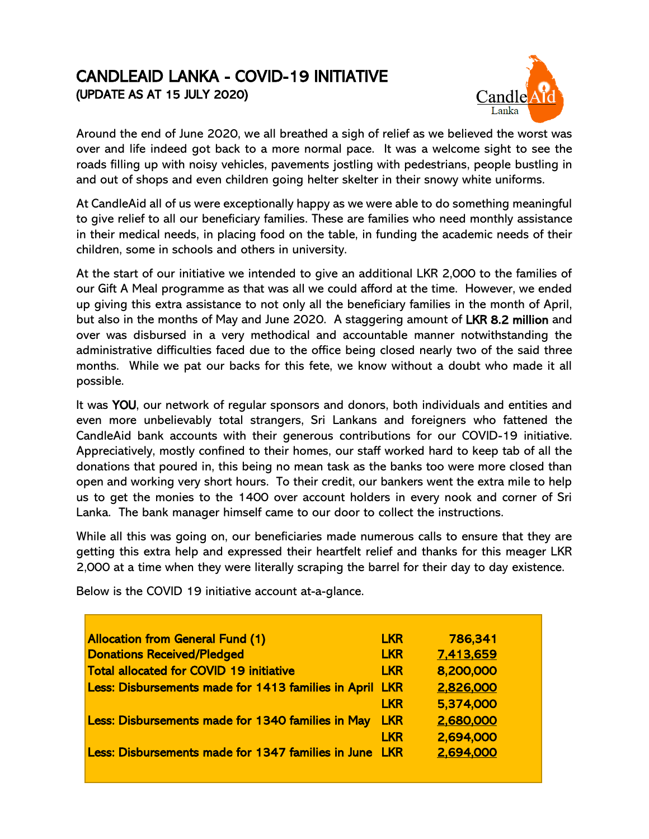## CANDLEAID LANKA - COVID-19 INITIATIVE (UPDATE AS AT 15 JULY 2020)



Around the end of June 2020, we all breathed a sigh of relief as we believed the worst was over and life indeed got back to a more normal pace. It was a welcome sight to see the roads filling up with noisy vehicles, pavements jostling with pedestrians, people bustling in and out of shops and even children going helter skelter in their snowy white uniforms.

At CandleAid all of us were exceptionally happy as we were able to do something meaningful to give relief to all our beneficiary families. These are families who need monthly assistance in their medical needs, in placing food on the table, in funding the academic needs of their children, some in schools and others in university.

At the start of our initiative we intended to give an additional LKR 2,000 to the families of our Gift A Meal programme as that was all we could afford at the time. However, we ended up giving this extra assistance to not only all the beneficiary families in the month of April, but also in the months of May and June 2020. A staggering amount of LKR 8.2 million and over was disbursed in a very methodical and accountable manner notwithstanding the administrative difficulties faced due to the office being closed nearly two of the said three months. While we pat our backs for this fete, we know without a doubt who made it all possible.

It was YOU, our network of regular sponsors and donors, both individuals and entities and even more unbelievably total strangers, Sri Lankans and foreigners who fattened the CandleAid bank accounts with their generous contributions for our COVID-19 initiative. Appreciatively, mostly confined to their homes, our staff worked hard to keep tab of all the donations that poured in, this being no mean task as the banks too were more closed than open and working very short hours. To their credit, our bankers went the extra mile to help us to get the monies to the 1400 over account holders in every nook and corner of Sri Lanka. The bank manager himself came to our door to collect the instructions.

While all this was going on, our beneficiaries made numerous calls to ensure that they are getting this extra help and expressed their heartfelt relief and thanks for this meager LKR 2,000 at a time when they were literally scraping the barrel for their day to day existence.

| <b>Allocation from General Fund (1)</b>                 | <b>LKR</b> | 786,341   |
|---------------------------------------------------------|------------|-----------|
| <b>Donations Received/Pledged</b>                       | <b>LKR</b> | 7,413,659 |
| <b>Total allocated for COVID 19 initiative</b>          | <b>LKR</b> | 8,200,000 |
| Less: Disbursements made for 1413 families in April LKR |            | 2,826,000 |
|                                                         | <b>LKR</b> | 5,374,000 |
| Less: Disbursements made for 1340 families in May       | <b>LKR</b> | 2,680,000 |
|                                                         | <b>LKR</b> | 2,694,000 |
| Less: Disbursements made for 1347 families in June LKR  |            | 2,694,000 |
|                                                         |            |           |

Below is the COVID 19 initiative account at-a-glance.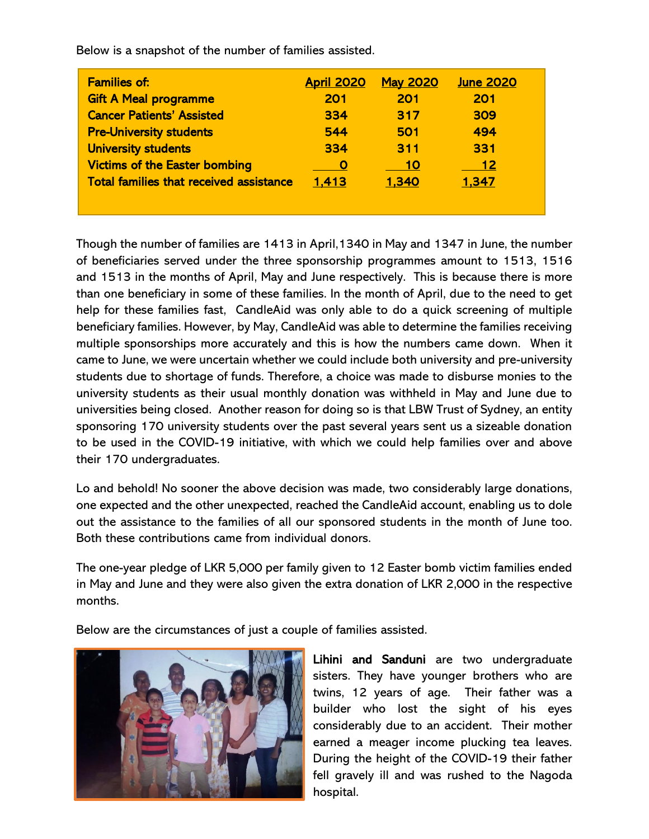| <b>Families of:</b>                            | <b>April 2020</b> | <b>May 2020</b> | <b>June 2020</b> |
|------------------------------------------------|-------------------|-----------------|------------------|
| <b>Gift A Meal programme</b>                   | 201               | 201             | 201              |
| <b>Cancer Patients' Assisted</b>               | 334               | 317             | 309              |
| <b>Pre-University students</b>                 | 544               | 501             | 494              |
| <b>University students</b>                     | 334               | 311             | 331              |
| <b>Victims of the Easter bombing</b>           | O                 | 10              | 12               |
| <b>Total families that received assistance</b> | 1,413             | 1,340           | 1,347            |

Below is a snapshot of the number of families assisted.

Though the number of families are 1413 in April,1340 in May and 1347 in June, the number of beneficiaries served under the three sponsorship programmes amount to 1513, 1516 and 1513 in the months of April, May and June respectively. This is because there is more than one beneficiary in some of these families. In the month of April, due to the need to get help for these families fast, CandleAid was only able to do a quick screening of multiple beneficiary families. However, by May, CandleAid was able to determine the families receiving multiple sponsorships more accurately and this is how the numbers came down. When it came to June, we were uncertain whether we could include both university and pre-university students due to shortage of funds. Therefore, a choice was made to disburse monies to the university students as their usual monthly donation was withheld in May and June due to universities being closed. Another reason for doing so is that LBW Trust of Sydney, an entity sponsoring 170 university students over the past several years sent us a sizeable donation to be used in the COVID-19 initiative, with which we could help families over and above their 170 undergraduates.

Lo and behold! No sooner the above decision was made, two considerably large donations, one expected and the other unexpected, reached the CandleAid account, enabling us to dole out the assistance to the families of all our sponsored students in the month of June too. Both these contributions came from individual donors.

The one-year pledge of LKR 5,000 per family given to 12 Easter bomb victim families ended in May and June and they were also given the extra donation of LKR 2,000 in the respective months.

Below are the circumstances of just a couple of families assisted.



Lihini and Sanduni are two undergraduate sisters. They have younger brothers who are twins, 12 years of age. Their father was a builder who lost the sight of his eyes considerably due to an accident. Their mother earned a meager income plucking tea leaves. During the height of the COVID-19 their father fell gravely ill and was rushed to the Nagoda hospital.